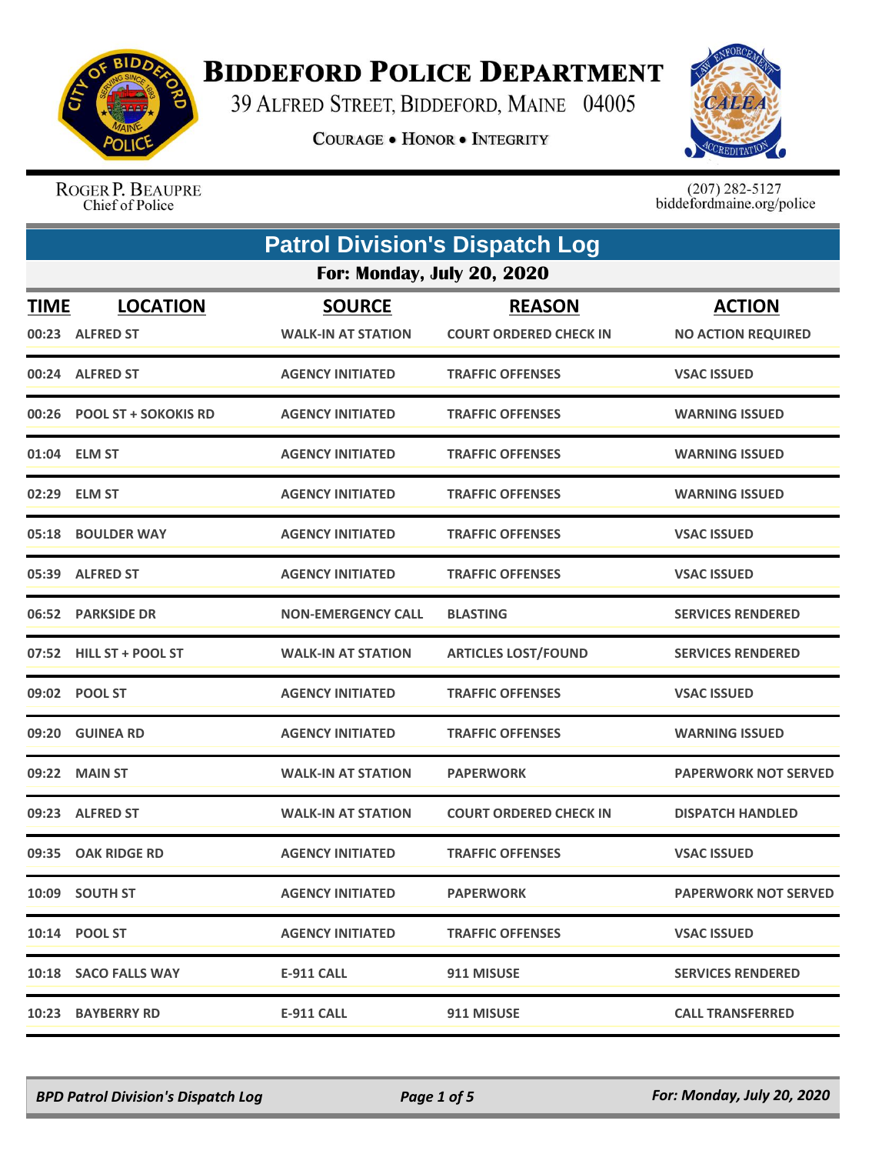

## **BIDDEFORD POLICE DEPARTMENT**

39 ALFRED STREET, BIDDEFORD, MAINE 04005

**COURAGE . HONOR . INTEGRITY** 



ROGER P. BEAUPRE Chief of Police

 $(207)$  282-5127<br>biddefordmaine.org/police

|                                   | <b>Patrol Division's Dispatch Log</b> |                                            |                                                |                                            |
|-----------------------------------|---------------------------------------|--------------------------------------------|------------------------------------------------|--------------------------------------------|
| <b>For: Monday, July 20, 2020</b> |                                       |                                            |                                                |                                            |
| <b>TIME</b>                       | <b>LOCATION</b><br>00:23 ALFRED ST    | <b>SOURCE</b><br><b>WALK-IN AT STATION</b> | <b>REASON</b><br><b>COURT ORDERED CHECK IN</b> | <b>ACTION</b><br><b>NO ACTION REQUIRED</b> |
|                                   | 00:24 ALFRED ST                       | <b>AGENCY INITIATED</b>                    | <b>TRAFFIC OFFENSES</b>                        | <b>VSAC ISSUED</b>                         |
|                                   | 00:26 POOL ST + SOKOKIS RD            | <b>AGENCY INITIATED</b>                    | <b>TRAFFIC OFFENSES</b>                        | <b>WARNING ISSUED</b>                      |
|                                   | 01:04 ELM ST                          | <b>AGENCY INITIATED</b>                    | <b>TRAFFIC OFFENSES</b>                        | <b>WARNING ISSUED</b>                      |
|                                   | 02:29 ELM ST                          | <b>AGENCY INITIATED</b>                    | <b>TRAFFIC OFFENSES</b>                        | <b>WARNING ISSUED</b>                      |
|                                   | 05:18 BOULDER WAY                     | <b>AGENCY INITIATED</b>                    | <b>TRAFFIC OFFENSES</b>                        | <b>VSAC ISSUED</b>                         |
|                                   | 05:39 ALFRED ST                       | <b>AGENCY INITIATED</b>                    | <b>TRAFFIC OFFENSES</b>                        | <b>VSAC ISSUED</b>                         |
| 06:52                             | <b>PARKSIDE DR</b>                    | <b>NON-EMERGENCY CALL</b>                  | <b>BLASTING</b>                                | <b>SERVICES RENDERED</b>                   |
|                                   | 07:52 HILL ST + POOL ST               | <b>WALK-IN AT STATION</b>                  | <b>ARTICLES LOST/FOUND</b>                     | <b>SERVICES RENDERED</b>                   |
|                                   | 09:02 POOL ST                         | <b>AGENCY INITIATED</b>                    | <b>TRAFFIC OFFENSES</b>                        | <b>VSAC ISSUED</b>                         |
|                                   | 09:20 GUINEA RD                       | <b>AGENCY INITIATED</b>                    | <b>TRAFFIC OFFENSES</b>                        | <b>WARNING ISSUED</b>                      |
|                                   | 09:22 MAIN ST                         | <b>WALK-IN AT STATION</b>                  | <b>PAPERWORK</b>                               | <b>PAPERWORK NOT SERVED</b>                |
|                                   | 09:23 ALFRED ST                       | <b>WALK-IN AT STATION</b>                  | <b>COURT ORDERED CHECK IN</b>                  | <b>DISPATCH HANDLED</b>                    |
|                                   | 09:35 OAK RIDGE RD                    | <b>AGENCY INITIATED</b>                    | <b>TRAFFIC OFFENSES</b>                        | <b>VSAC ISSUED</b>                         |
|                                   | 10:09 SOUTH ST                        | <b>AGENCY INITIATED</b>                    | <b>PAPERWORK</b>                               | <b>PAPERWORK NOT SERVED</b>                |
|                                   | 10:14 POOL ST                         | <b>AGENCY INITIATED</b>                    | <b>TRAFFIC OFFENSES</b>                        | <b>VSAC ISSUED</b>                         |
|                                   | 10:18 SACO FALLS WAY                  | <b>E-911 CALL</b>                          | 911 MISUSE                                     | <b>SERVICES RENDERED</b>                   |
|                                   | 10:23 BAYBERRY RD                     | <b>E-911 CALL</b>                          | 911 MISUSE                                     | <b>CALL TRANSFERRED</b>                    |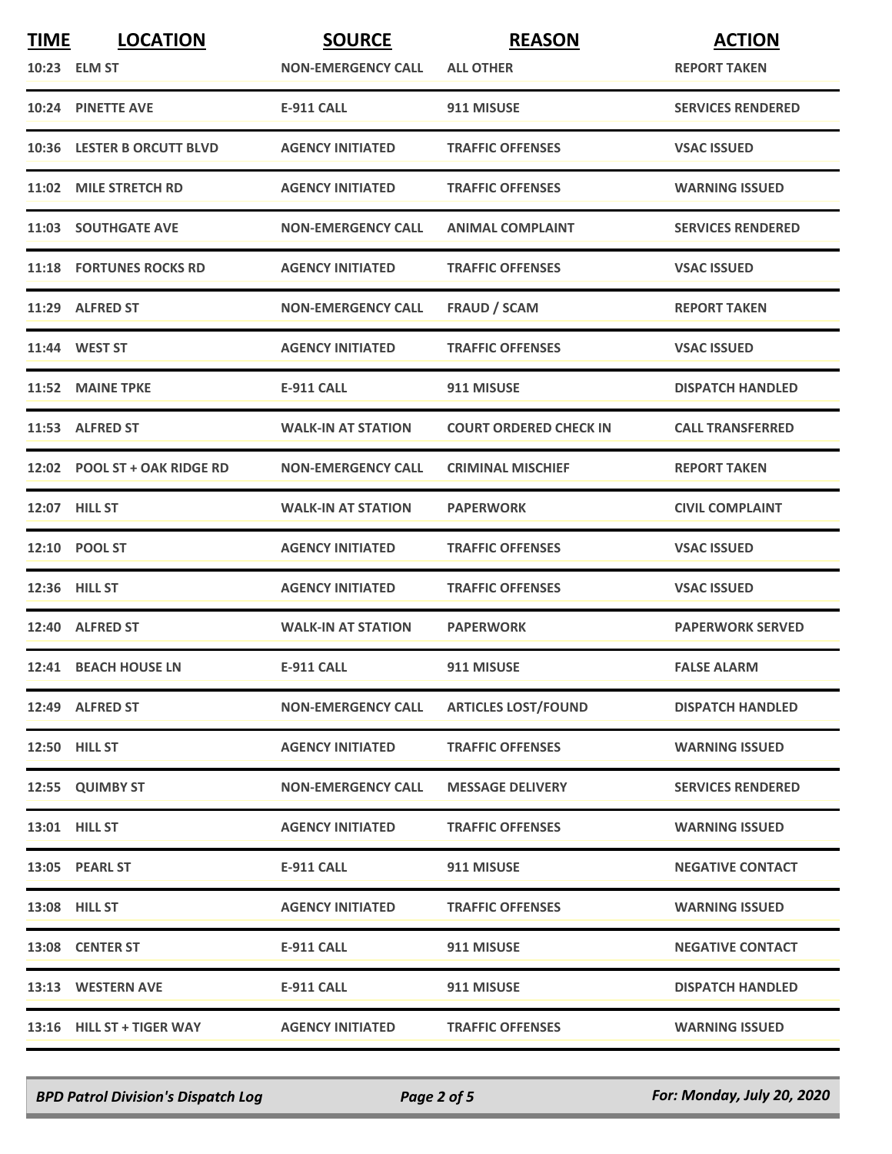| <b>TIME</b> | <b>LOCATION</b>                | <b>SOURCE</b>             | <b>REASON</b>                 | <b>ACTION</b>            |
|-------------|--------------------------------|---------------------------|-------------------------------|--------------------------|
|             | 10:23 ELM ST                   | <b>NON-EMERGENCY CALL</b> | <b>ALL OTHER</b>              | <b>REPORT TAKEN</b>      |
|             | 10:24 PINETTE AVE              | <b>E-911 CALL</b>         | 911 MISUSE                    | <b>SERVICES RENDERED</b> |
|             | 10:36 LESTER B ORCUTT BLVD     | <b>AGENCY INITIATED</b>   | <b>TRAFFIC OFFENSES</b>       | <b>VSAC ISSUED</b>       |
|             | 11:02 MILE STRETCH RD          | <b>AGENCY INITIATED</b>   | <b>TRAFFIC OFFENSES</b>       | <b>WARNING ISSUED</b>    |
|             | <b>11:03 SOUTHGATE AVE</b>     | <b>NON-EMERGENCY CALL</b> | <b>ANIMAL COMPLAINT</b>       | <b>SERVICES RENDERED</b> |
|             | <b>11:18 FORTUNES ROCKS RD</b> | <b>AGENCY INITIATED</b>   | <b>TRAFFIC OFFENSES</b>       | <b>VSAC ISSUED</b>       |
|             | 11:29 ALFRED ST                | <b>NON-EMERGENCY CALL</b> | <b>FRAUD / SCAM</b>           | <b>REPORT TAKEN</b>      |
|             | 11:44 WEST ST                  | <b>AGENCY INITIATED</b>   | <b>TRAFFIC OFFENSES</b>       | <b>VSAC ISSUED</b>       |
|             | 11:52 MAINE TPKE               | <b>E-911 CALL</b>         | 911 MISUSE                    | <b>DISPATCH HANDLED</b>  |
|             | 11:53 ALFRED ST                | <b>WALK-IN AT STATION</b> | <b>COURT ORDERED CHECK IN</b> | <b>CALL TRANSFERRED</b>  |
|             | 12:02 POOL ST + OAK RIDGE RD   | <b>NON-EMERGENCY CALL</b> | <b>CRIMINAL MISCHIEF</b>      | <b>REPORT TAKEN</b>      |
|             | <b>12:07 HILL ST</b>           | <b>WALK-IN AT STATION</b> | <b>PAPERWORK</b>              | <b>CIVIL COMPLAINT</b>   |
|             | 12:10 POOL ST                  | <b>AGENCY INITIATED</b>   | <b>TRAFFIC OFFENSES</b>       | <b>VSAC ISSUED</b>       |
|             | 12:36 HILL ST                  | <b>AGENCY INITIATED</b>   | <b>TRAFFIC OFFENSES</b>       | <b>VSAC ISSUED</b>       |
|             | 12:40 ALFRED ST                | <b>WALK-IN AT STATION</b> | <b>PAPERWORK</b>              | <b>PAPERWORK SERVED</b>  |
|             | 12:41 BEACH HOUSE LN           | <b>E-911 CALL</b>         | 911 MISUSE                    | <b>FALSE ALARM</b>       |
|             | 12:49 ALFRED ST                | <b>NON-EMERGENCY CALL</b> | <b>ARTICLES LOST/FOUND</b>    | <b>DISPATCH HANDLED</b>  |
|             | <b>12:50 HILL ST</b>           | <b>AGENCY INITIATED</b>   | <b>TRAFFIC OFFENSES</b>       | <b>WARNING ISSUED</b>    |
|             | 12:55 QUIMBY ST                | <b>NON-EMERGENCY CALL</b> | <b>MESSAGE DELIVERY</b>       | <b>SERVICES RENDERED</b> |
|             | 13:01 HILL ST                  | <b>AGENCY INITIATED</b>   | <b>TRAFFIC OFFENSES</b>       | <b>WARNING ISSUED</b>    |
|             | 13:05 PEARL ST                 | <b>E-911 CALL</b>         | 911 MISUSE                    | <b>NEGATIVE CONTACT</b>  |
|             | 13:08 HILL ST                  | <b>AGENCY INITIATED</b>   | <b>TRAFFIC OFFENSES</b>       | <b>WARNING ISSUED</b>    |
|             | 13:08 CENTER ST                | <b>E-911 CALL</b>         | 911 MISUSE                    | <b>NEGATIVE CONTACT</b>  |
|             | 13:13 WESTERN AVE              | <b>E-911 CALL</b>         | 911 MISUSE                    | <b>DISPATCH HANDLED</b>  |
|             | 13:16 HILL ST + TIGER WAY      | <b>AGENCY INITIATED</b>   | <b>TRAFFIC OFFENSES</b>       | <b>WARNING ISSUED</b>    |

*BPD Patrol Division's Dispatch Log Page 2 of 5 For: Monday, July 20, 2020*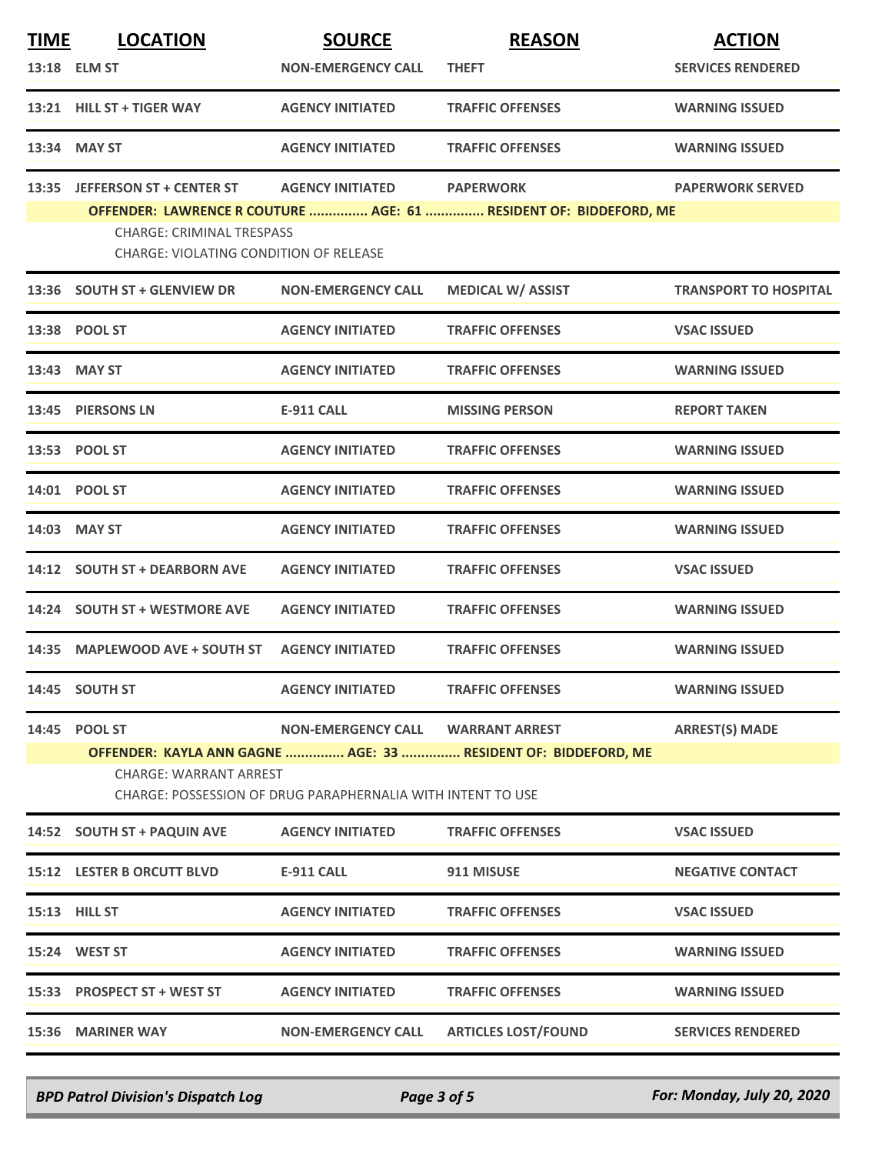| <b>LOCATION</b>                                                                                                                                                | <b>SOURCE</b><br><b>NON-EMERGENCY CALL</b>                                                                                                                                                                                                                                                                                                                                                                                                                                                                                                   | <b>REASON</b><br><b>THEFT</b>                                                     | <b>ACTION</b><br><b>SERVICES RENDERED</b>                         |  |
|----------------------------------------------------------------------------------------------------------------------------------------------------------------|----------------------------------------------------------------------------------------------------------------------------------------------------------------------------------------------------------------------------------------------------------------------------------------------------------------------------------------------------------------------------------------------------------------------------------------------------------------------------------------------------------------------------------------------|-----------------------------------------------------------------------------------|-------------------------------------------------------------------|--|
|                                                                                                                                                                | <b>AGENCY INITIATED</b>                                                                                                                                                                                                                                                                                                                                                                                                                                                                                                                      | <b>TRAFFIC OFFENSES</b>                                                           | <b>WARNING ISSUED</b>                                             |  |
|                                                                                                                                                                | <b>AGENCY INITIATED</b>                                                                                                                                                                                                                                                                                                                                                                                                                                                                                                                      | <b>TRAFFIC OFFENSES</b>                                                           | <b>WARNING ISSUED</b>                                             |  |
|                                                                                                                                                                | <b>AGENCY INITIATED</b>                                                                                                                                                                                                                                                                                                                                                                                                                                                                                                                      | <b>PAPERWORK</b>                                                                  | <b>PAPERWORK SERVED</b>                                           |  |
|                                                                                                                                                                |                                                                                                                                                                                                                                                                                                                                                                                                                                                                                                                                              |                                                                                   |                                                                   |  |
|                                                                                                                                                                | <b>NON-EMERGENCY CALL</b>                                                                                                                                                                                                                                                                                                                                                                                                                                                                                                                    | <b>MEDICAL W/ ASSIST</b>                                                          | <b>TRANSPORT TO HOSPITAL</b>                                      |  |
|                                                                                                                                                                | <b>AGENCY INITIATED</b>                                                                                                                                                                                                                                                                                                                                                                                                                                                                                                                      | <b>TRAFFIC OFFENSES</b>                                                           | <b>VSAC ISSUED</b>                                                |  |
|                                                                                                                                                                | <b>AGENCY INITIATED</b>                                                                                                                                                                                                                                                                                                                                                                                                                                                                                                                      | <b>TRAFFIC OFFENSES</b>                                                           | <b>WARNING ISSUED</b>                                             |  |
|                                                                                                                                                                | <b>E-911 CALL</b>                                                                                                                                                                                                                                                                                                                                                                                                                                                                                                                            | <b>MISSING PERSON</b>                                                             | <b>REPORT TAKEN</b>                                               |  |
|                                                                                                                                                                | <b>AGENCY INITIATED</b>                                                                                                                                                                                                                                                                                                                                                                                                                                                                                                                      | <b>TRAFFIC OFFENSES</b>                                                           | <b>WARNING ISSUED</b>                                             |  |
|                                                                                                                                                                | <b>AGENCY INITIATED</b>                                                                                                                                                                                                                                                                                                                                                                                                                                                                                                                      | <b>TRAFFIC OFFENSES</b>                                                           | <b>WARNING ISSUED</b>                                             |  |
|                                                                                                                                                                | <b>AGENCY INITIATED</b>                                                                                                                                                                                                                                                                                                                                                                                                                                                                                                                      | <b>TRAFFIC OFFENSES</b>                                                           | <b>WARNING ISSUED</b>                                             |  |
|                                                                                                                                                                | <b>AGENCY INITIATED</b>                                                                                                                                                                                                                                                                                                                                                                                                                                                                                                                      | <b>TRAFFIC OFFENSES</b>                                                           | <b>VSAC ISSUED</b>                                                |  |
|                                                                                                                                                                | <b>AGENCY INITIATED</b>                                                                                                                                                                                                                                                                                                                                                                                                                                                                                                                      | <b>TRAFFIC OFFENSES</b>                                                           | <b>WARNING ISSUED</b>                                             |  |
|                                                                                                                                                                | <b>AGENCY INITIATED</b>                                                                                                                                                                                                                                                                                                                                                                                                                                                                                                                      | <b>TRAFFIC OFFENSES</b>                                                           | <b>WARNING ISSUED</b>                                             |  |
|                                                                                                                                                                | <b>AGENCY INITIATED</b>                                                                                                                                                                                                                                                                                                                                                                                                                                                                                                                      | <b>TRAFFIC OFFENSES</b>                                                           | <b>WARNING ISSUED</b>                                             |  |
|                                                                                                                                                                | <b>NON-EMERGENCY CALL</b>                                                                                                                                                                                                                                                                                                                                                                                                                                                                                                                    | <b>WARRANT ARREST</b>                                                             | <b>ARREST(S) MADE</b>                                             |  |
| OFFENDER: KAYLA ANN GAGNE  AGE: 33  RESIDENT OF: BIDDEFORD, ME<br><b>CHARGE: WARRANT ARREST</b><br>CHARGE: POSSESSION OF DRUG PARAPHERNALIA WITH INTENT TO USE |                                                                                                                                                                                                                                                                                                                                                                                                                                                                                                                                              |                                                                                   |                                                                   |  |
|                                                                                                                                                                | <b>AGENCY INITIATED</b>                                                                                                                                                                                                                                                                                                                                                                                                                                                                                                                      | <b>TRAFFIC OFFENSES</b>                                                           | <b>VSAC ISSUED</b>                                                |  |
|                                                                                                                                                                | <b>E-911 CALL</b>                                                                                                                                                                                                                                                                                                                                                                                                                                                                                                                            | 911 MISUSE                                                                        | <b>NEGATIVE CONTACT</b>                                           |  |
|                                                                                                                                                                | <b>AGENCY INITIATED</b>                                                                                                                                                                                                                                                                                                                                                                                                                                                                                                                      | <b>TRAFFIC OFFENSES</b>                                                           | <b>VSAC ISSUED</b>                                                |  |
|                                                                                                                                                                | <b>AGENCY INITIATED</b>                                                                                                                                                                                                                                                                                                                                                                                                                                                                                                                      | <b>TRAFFIC OFFENSES</b>                                                           | <b>WARNING ISSUED</b>                                             |  |
|                                                                                                                                                                | <b>AGENCY INITIATED</b>                                                                                                                                                                                                                                                                                                                                                                                                                                                                                                                      | <b>TRAFFIC OFFENSES</b>                                                           | <b>WARNING ISSUED</b>                                             |  |
|                                                                                                                                                                | <b>NON-EMERGENCY CALL</b>                                                                                                                                                                                                                                                                                                                                                                                                                                                                                                                    | <b>ARTICLES LOST/FOUND</b>                                                        | <b>SERVICES RENDERED</b>                                          |  |
|                                                                                                                                                                | <b>TIME</b><br>13:18 ELM ST<br>13:21 HILL ST + TIGER WAY<br>13:34 MAY ST<br>13:35 JEFFERSON ST + CENTER ST<br>13:36 SOUTH ST + GLENVIEW DR<br>13:38 POOL ST<br>13:43 MAY ST<br>13:45 PIERSONS LN<br>13:53 POOL ST<br>14:01 POOL ST<br>14:03 MAY ST<br>14:12 SOUTH ST + DEARBORN AVE<br>14:24 SOUTH ST + WESTMORE AVE<br>14:35 MAPLEWOOD AVE + SOUTH ST<br>14:45 SOUTH ST<br>14:45 POOL ST<br>14:52 SOUTH ST + PAQUIN AVE<br>15:12 LESTER B ORCUTT BLVD<br>15:13 HILL ST<br>15:24 WEST ST<br>15:33 PROSPECT ST + WEST ST<br>15:36 MARINER WAY | <b>CHARGE: CRIMINAL TRESPASS</b><br><b>CHARGE: VIOLATING CONDITION OF RELEASE</b> | OFFENDER: LAWRENCE R COUTURE  AGE: 61  RESIDENT OF: BIDDEFORD, ME |  |

*BPD Patrol Division's Dispatch Log Page 3 of 5 For: Monday, July 20, 2020*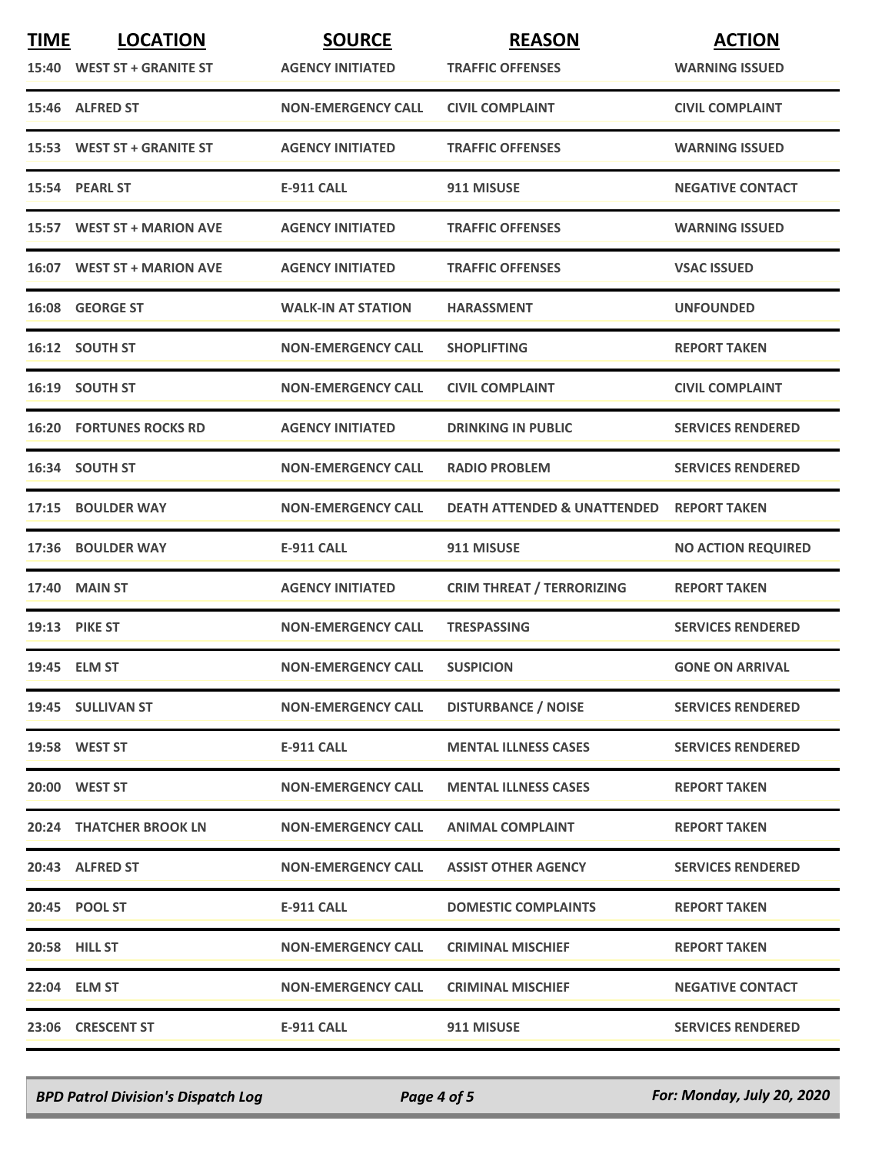| <b>TIME</b> | <b>LOCATION</b>                | <b>SOURCE</b>             | <b>REASON</b>                          | <b>ACTION</b>             |
|-------------|--------------------------------|---------------------------|----------------------------------------|---------------------------|
|             | 15:40 WEST ST + GRANITE ST     | <b>AGENCY INITIATED</b>   | <b>TRAFFIC OFFENSES</b>                | <b>WARNING ISSUED</b>     |
|             | 15:46 ALFRED ST                | <b>NON-EMERGENCY CALL</b> | <b>CIVIL COMPLAINT</b>                 | <b>CIVIL COMPLAINT</b>    |
|             | 15:53 WEST ST + GRANITE ST     | <b>AGENCY INITIATED</b>   | <b>TRAFFIC OFFENSES</b>                | <b>WARNING ISSUED</b>     |
|             | 15:54 PEARL ST                 | <b>E-911 CALL</b>         | 911 MISUSE                             | <b>NEGATIVE CONTACT</b>   |
|             | 15:57 WEST ST + MARION AVE     | <b>AGENCY INITIATED</b>   | <b>TRAFFIC OFFENSES</b>                | <b>WARNING ISSUED</b>     |
|             | 16:07 WEST ST + MARION AVE     | <b>AGENCY INITIATED</b>   | <b>TRAFFIC OFFENSES</b>                | <b>VSAC ISSUED</b>        |
|             | 16:08 GEORGE ST                | <b>WALK-IN AT STATION</b> | <b>HARASSMENT</b>                      | <b>UNFOUNDED</b>          |
|             | 16:12 SOUTH ST                 | <b>NON-EMERGENCY CALL</b> | <b>SHOPLIFTING</b>                     | <b>REPORT TAKEN</b>       |
|             | 16:19 SOUTH ST                 | <b>NON-EMERGENCY CALL</b> | <b>CIVIL COMPLAINT</b>                 | <b>CIVIL COMPLAINT</b>    |
|             | <b>16:20 FORTUNES ROCKS RD</b> | <b>AGENCY INITIATED</b>   | <b>DRINKING IN PUBLIC</b>              | <b>SERVICES RENDERED</b>  |
|             | 16:34 SOUTH ST                 | <b>NON-EMERGENCY CALL</b> | <b>RADIO PROBLEM</b>                   | <b>SERVICES RENDERED</b>  |
|             | 17:15 BOULDER WAY              | <b>NON-EMERGENCY CALL</b> | <b>DEATH ATTENDED &amp; UNATTENDED</b> | <b>REPORT TAKEN</b>       |
|             | 17:36 BOULDER WAY              | <b>E-911 CALL</b>         | 911 MISUSE                             | <b>NO ACTION REQUIRED</b> |
|             | 17:40 MAIN ST                  | <b>AGENCY INITIATED</b>   | <b>CRIM THREAT / TERRORIZING</b>       | <b>REPORT TAKEN</b>       |
|             | <b>19:13 PIKE ST</b>           | <b>NON-EMERGENCY CALL</b> | <b>TRESPASSING</b>                     | <b>SERVICES RENDERED</b>  |
|             | 19:45 ELM ST                   | <b>NON-EMERGENCY CALL</b> | <b>SUSPICION</b>                       | <b>GONE ON ARRIVAL</b>    |
|             | 19:45 SULLIVAN ST              | <b>NON-EMERGENCY CALL</b> | <b>DISTURBANCE / NOISE</b>             | <b>SERVICES RENDERED</b>  |
|             | 19:58 WEST ST                  | E-911 CALL                | <b>MENTAL ILLNESS CASES</b>            | <b>SERVICES RENDERED</b>  |
|             | 20:00 WEST ST                  | <b>NON-EMERGENCY CALL</b> | <b>MENTAL ILLNESS CASES</b>            | <b>REPORT TAKEN</b>       |
|             | <b>20:24 THATCHER BROOK LN</b> | <b>NON-EMERGENCY CALL</b> | <b>ANIMAL COMPLAINT</b>                | <b>REPORT TAKEN</b>       |
|             | 20:43 ALFRED ST                | <b>NON-EMERGENCY CALL</b> | <b>ASSIST OTHER AGENCY</b>             | <b>SERVICES RENDERED</b>  |
|             | 20:45 POOL ST                  | <b>E-911 CALL</b>         | <b>DOMESTIC COMPLAINTS</b>             | <b>REPORT TAKEN</b>       |
|             | <b>20:58 HILL ST</b>           | <b>NON-EMERGENCY CALL</b> | <b>CRIMINAL MISCHIEF</b>               | <b>REPORT TAKEN</b>       |
|             | 22:04 ELM ST                   | <b>NON-EMERGENCY CALL</b> | <b>CRIMINAL MISCHIEF</b>               | <b>NEGATIVE CONTACT</b>   |
|             | 23:06 CRESCENT ST              | <b>E-911 CALL</b>         | 911 MISUSE                             | <b>SERVICES RENDERED</b>  |

*BPD Patrol Division's Dispatch Log Page 4 of 5 For: Monday, July 20, 2020*